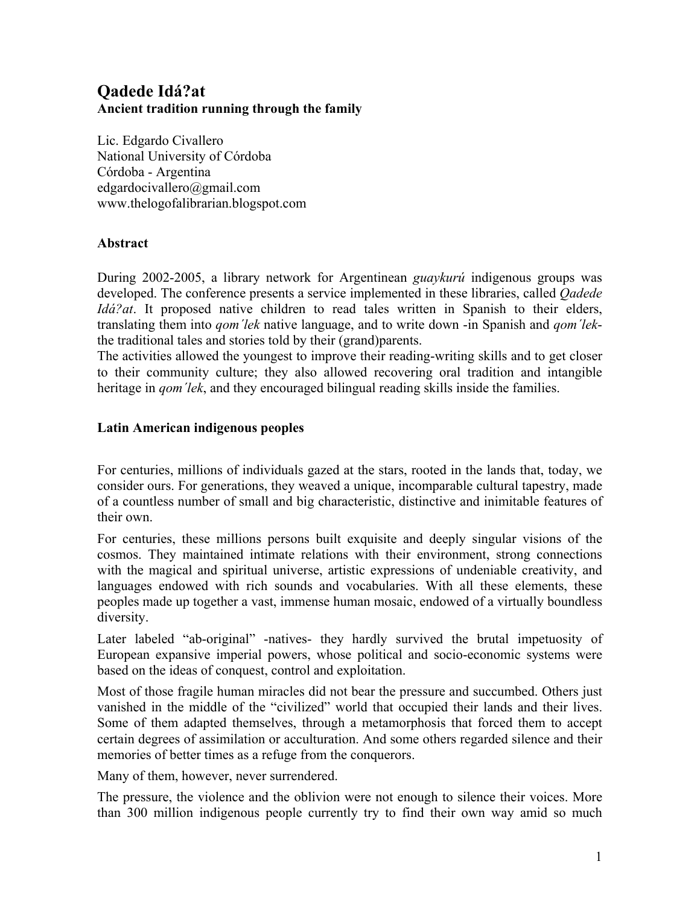# **Qadede Idá?at Ancient tradition running through the family**

Lic. Edgardo Civallero National University of Córdoba Córdoba - Argentina edgardocivallero@gmail.com www.thelogofalibrarian.blogspot.com

# **Abstract**

During 2002-2005, a library network for Argentinean *guaykurú* indigenous groups was developed. The conference presents a service implemented in these libraries, called *Qadede Idá?at*. It proposed native children to read tales written in Spanish to their elders, translating them into *qom´lek* native language, and to write down -in Spanish and *qom´lek*the traditional tales and stories told by their (grand)parents.

The activities allowed the youngest to improve their reading-writing skills and to get closer to their community culture; they also allowed recovering oral tradition and intangible heritage in *gom'lek*, and they encouraged bilingual reading skills inside the families.

# **Latin American indigenous peoples**

For centuries, millions of individuals gazed at the stars, rooted in the lands that, today, we consider ours. For generations, they weaved a unique, incomparable cultural tapestry, made of a countless number of small and big characteristic, distinctive and inimitable features of their own.

For centuries, these millions persons built exquisite and deeply singular visions of the cosmos. They maintained intimate relations with their environment, strong connections with the magical and spiritual universe, artistic expressions of undeniable creativity, and languages endowed with rich sounds and vocabularies. With all these elements, these peoples made up together a vast, immense human mosaic, endowed of a virtually boundless diversity.

Later labeled "ab-original" -natives- they hardly survived the brutal impetuosity of European expansive imperial powers, whose political and socio-economic systems were based on the ideas of conquest, control and exploitation.

Most of those fragile human miracles did not bear the pressure and succumbed. Others just vanished in the middle of the "civilized" world that occupied their lands and their lives. Some of them adapted themselves, through a metamorphosis that forced them to accept certain degrees of assimilation or acculturation. And some others regarded silence and their memories of better times as a refuge from the conquerors.

Many of them, however, never surrendered.

The pressure, the violence and the oblivion were not enough to silence their voices. More than 300 million indigenous people currently try to find their own way amid so much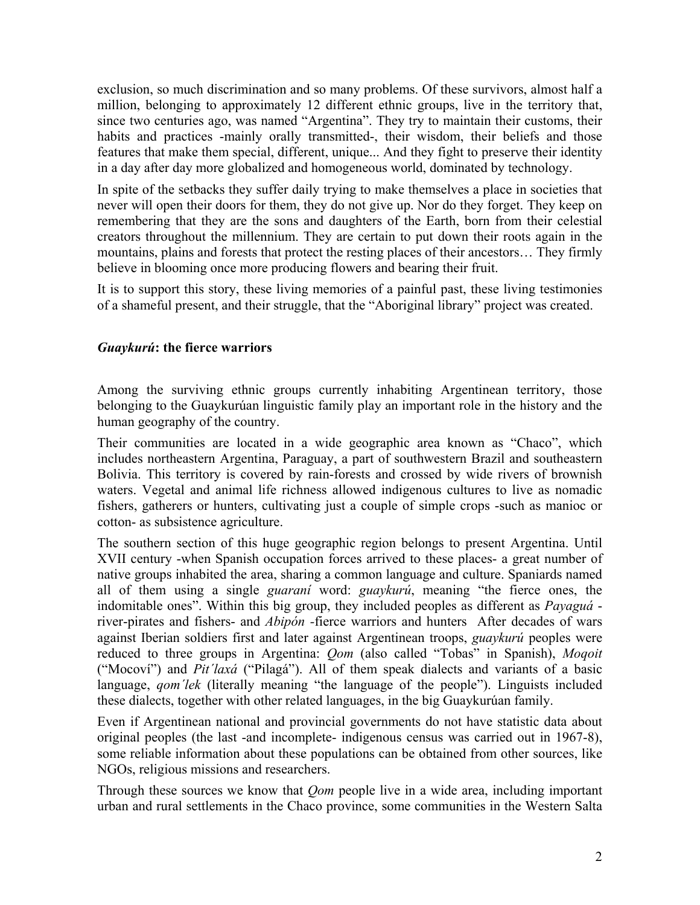exclusion, so much discrimination and so many problems. Of these survivors, almost half a million, belonging to approximately 12 different ethnic groups, live in the territory that, since two centuries ago, was named "Argentina". They try to maintain their customs, their habits and practices -mainly orally transmitted-, their wisdom, their beliefs and those features that make them special, different, unique... And they fight to preserve their identity in a day after day more globalized and homogeneous world, dominated by technology.

In spite of the setbacks they suffer daily trying to make themselves a place in societies that never will open their doors for them, they do not give up. Nor do they forget. They keep on remembering that they are the sons and daughters of the Earth, born from their celestial creators throughout the millennium. They are certain to put down their roots again in the mountains, plains and forests that protect the resting places of their ancestors… They firmly believe in blooming once more producing flowers and bearing their fruit.

It is to support this story, these living memories of a painful past, these living testimonies of a shameful present, and their struggle, that the "Aboriginal library" project was created.

### *Guaykurú***: the fierce warriors**

Among the surviving ethnic groups currently inhabiting Argentinean territory, those belonging to the Guaykurúan linguistic family play an important role in the history and the human geography of the country.

Their communities are located in a wide geographic area known as "Chaco", which includes northeastern Argentina, Paraguay, a part of southwestern Brazil and southeastern Bolivia. This territory is covered by rain-forests and crossed by wide rivers of brownish waters. Vegetal and animal life richness allowed indigenous cultures to live as nomadic fishers, gatherers or hunters, cultivating just a couple of simple crops -such as manioc or cotton- as subsistence agriculture.

The southern section of this huge geographic region belongs to present Argentina. Until XVII century -when Spanish occupation forces arrived to these places- a great number of native groups inhabited the area, sharing a common language and culture. Spaniards named all of them using a single *guaraní* word: *guaykurú*, meaning "the fierce ones, the indomitable ones". Within this big group, they included peoples as different as *Payaguá* river-pirates and fishers- and *Abipón -*fierce warriors and hunters After decades of wars against Iberian soldiers first and later against Argentinean troops, *guaykurú* peoples were reduced to three groups in Argentina: *Qom* (also called "Tobas" in Spanish), *Moqoit* ("Mocoví") and *Pit´laxá* ("Pilagá"). All of them speak dialects and variants of a basic language, *qom'lek* (literally meaning "the language of the people"). Linguists included these dialects, together with other related languages, in the big Guaykurúan family.

Even if Argentinean national and provincial governments do not have statistic data about original peoples (the last -and incomplete- indigenous census was carried out in 1967-8), some reliable information about these populations can be obtained from other sources, like NGOs, religious missions and researchers.

Through these sources we know that *Qom* people live in a wide area, including important urban and rural settlements in the Chaco province, some communities in the Western Salta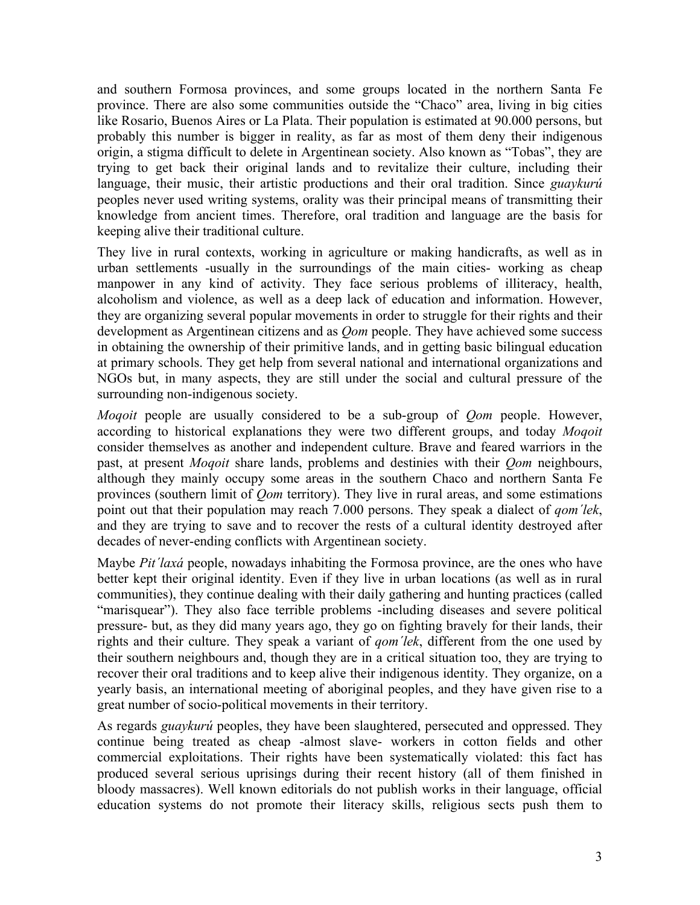and southern Formosa provinces, and some groups located in the northern Santa Fe province. There are also some communities outside the "Chaco" area, living in big cities like Rosario, Buenos Aires or La Plata. Their population is estimated at 90.000 persons, but probably this number is bigger in reality, as far as most of them deny their indigenous origin, a stigma difficult to delete in Argentinean society. Also known as "Tobas", they are trying to get back their original lands and to revitalize their culture, including their language, their music, their artistic productions and their oral tradition. Since *guaykurú* peoples never used writing systems, orality was their principal means of transmitting their knowledge from ancient times. Therefore, oral tradition and language are the basis for keeping alive their traditional culture.

They live in rural contexts, working in agriculture or making handicrafts, as well as in urban settlements -usually in the surroundings of the main cities- working as cheap manpower in any kind of activity. They face serious problems of illiteracy, health, alcoholism and violence, as well as a deep lack of education and information. However, they are organizing several popular movements in order to struggle for their rights and their development as Argentinean citizens and as *Qom* people. They have achieved some success in obtaining the ownership of their primitive lands, and in getting basic bilingual education at primary schools. They get help from several national and international organizations and NGOs but, in many aspects, they are still under the social and cultural pressure of the surrounding non-indigenous society.

*Moqoit* people are usually considered to be a sub-group of *Qom* people. However, according to historical explanations they were two different groups, and today *Moqoit* consider themselves as another and independent culture. Brave and feared warriors in the past, at present *Moqoit* share lands, problems and destinies with their *Qom* neighbours, although they mainly occupy some areas in the southern Chaco and northern Santa Fe provinces (southern limit of *Qom* territory). They live in rural areas, and some estimations point out that their population may reach 7.000 persons. They speak a dialect of *qom´lek*, and they are trying to save and to recover the rests of a cultural identity destroyed after decades of never-ending conflicts with Argentinean society.

Maybe *Pit´laxá* people, nowadays inhabiting the Formosa province, are the ones who have better kept their original identity. Even if they live in urban locations (as well as in rural communities), they continue dealing with their daily gathering and hunting practices (called "marisquear"). They also face terrible problems -including diseases and severe political pressure- but, as they did many years ago, they go on fighting bravely for their lands, their rights and their culture. They speak a variant of *qom´lek*, different from the one used by their southern neighbours and, though they are in a critical situation too, they are trying to recover their oral traditions and to keep alive their indigenous identity. They organize, on a yearly basis, an international meeting of aboriginal peoples, and they have given rise to a great number of socio-political movements in their territory.

As regards *guaykurú* peoples, they have been slaughtered, persecuted and oppressed. They continue being treated as cheap -almost slave- workers in cotton fields and other commercial exploitations. Their rights have been systematically violated: this fact has produced several serious uprisings during their recent history (all of them finished in bloody massacres). Well known editorials do not publish works in their language, official education systems do not promote their literacy skills, religious sects push them to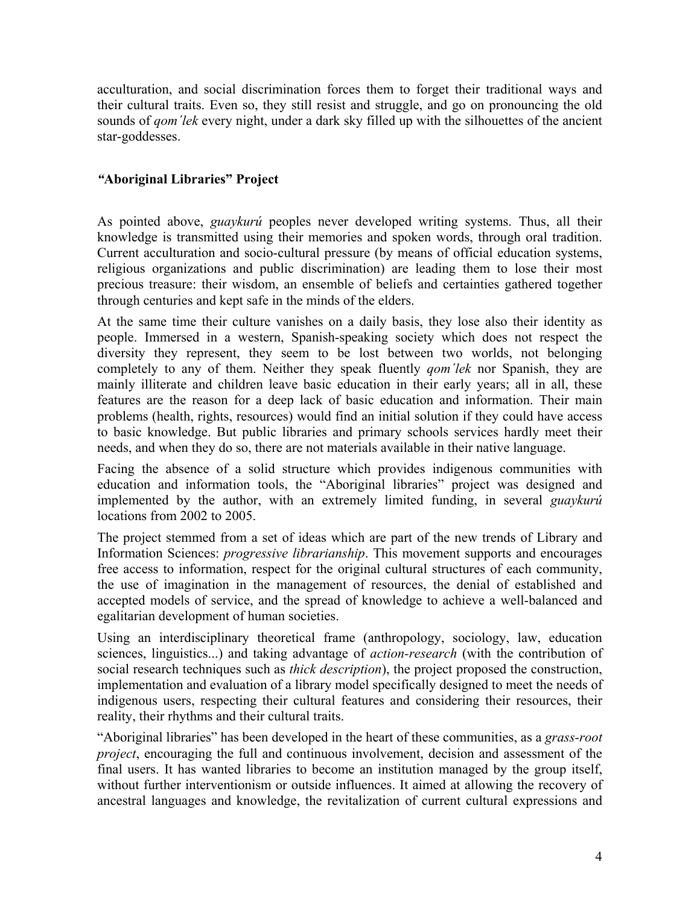acculturation, and social discrimination forces them to forget their traditional ways and their cultural traits. Even so, they still resist and struggle, and go on pronouncing the old sounds of *qom'lek* every night, under a dark sky filled up with the silhouettes of the ancient star-goddesses.

# *"***Aboriginal Libraries" Project**

As pointed above, *guaykurú* peoples never developed writing systems. Thus, all their knowledge is transmitted using their memories and spoken words, through oral tradition. Current acculturation and socio-cultural pressure (by means of official education systems, religious organizations and public discrimination) are leading them to lose their most precious treasure: their wisdom, an ensemble of beliefs and certainties gathered together through centuries and kept safe in the minds of the elders.

At the same time their culture vanishes on a daily basis, they lose also their identity as people. Immersed in a western, Spanish-speaking society which does not respect the diversity they represent, they seem to be lost between two worlds, not belonging completely to any of them. Neither they speak fluently *qom´lek* nor Spanish, they are mainly illiterate and children leave basic education in their early years; all in all, these features are the reason for a deep lack of basic education and information. Their main problems (health, rights, resources) would find an initial solution if they could have access to basic knowledge. But public libraries and primary schools services hardly meet their needs, and when they do so, there are not materials available in their native language.

Facing the absence of a solid structure which provides indigenous communities with education and information tools, the "Aboriginal libraries" project was designed and implemented by the author, with an extremely limited funding, in several *guaykurú* locations from 2002 to 2005.

The project stemmed from a set of ideas which are part of the new trends of Library and Information Sciences: *progressive librarianship*. This movement supports and encourages free access to information, respect for the original cultural structures of each community, the use of imagination in the management of resources, the denial of established and accepted models of service, and the spread of knowledge to achieve a well-balanced and egalitarian development of human societies.

Using an interdisciplinary theoretical frame (anthropology, sociology, law, education sciences, linguistics...) and taking advantage of *action-research* (with the contribution of social research techniques such as *thick description*), the project proposed the construction, implementation and evaluation of a library model specifically designed to meet the needs of indigenous users, respecting their cultural features and considering their resources, their reality, their rhythms and their cultural traits.

"Aboriginal libraries" has been developed in the heart of these communities, as a *grass-root project*, encouraging the full and continuous involvement, decision and assessment of the final users. It has wanted libraries to become an institution managed by the group itself, without further interventionism or outside influences. It aimed at allowing the recovery of ancestral languages and knowledge, the revitalization of current cultural expressions and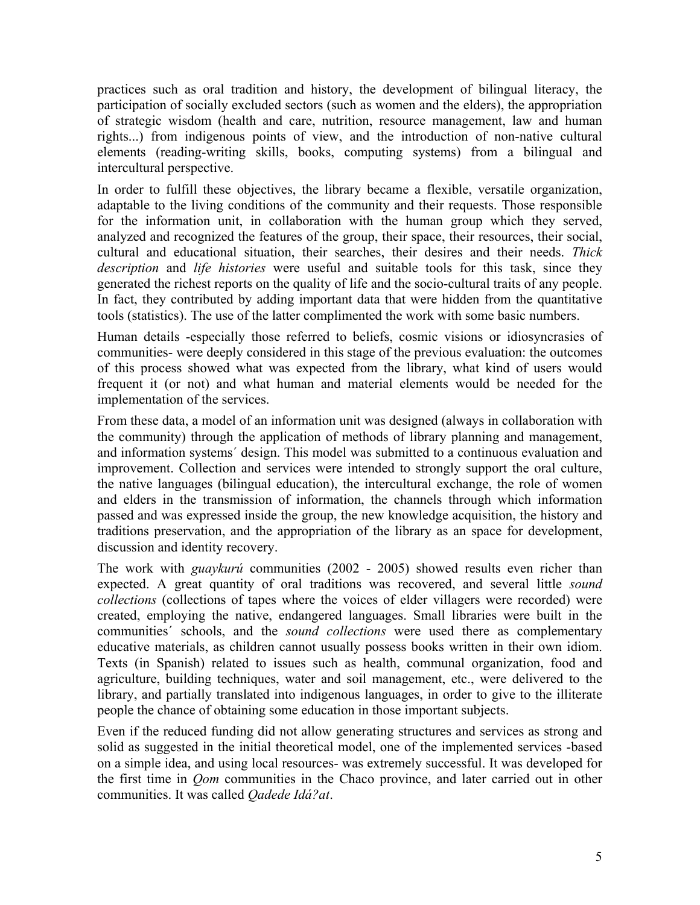practices such as oral tradition and history, the development of bilingual literacy, the participation of socially excluded sectors (such as women and the elders), the appropriation of strategic wisdom (health and care, nutrition, resource management, law and human rights...) from indigenous points of view, and the introduction of non-native cultural elements (reading-writing skills, books, computing systems) from a bilingual and intercultural perspective.

In order to fulfill these objectives, the library became a flexible, versatile organization, adaptable to the living conditions of the community and their requests. Those responsible for the information unit, in collaboration with the human group which they served, analyzed and recognized the features of the group, their space, their resources, their social, cultural and educational situation, their searches, their desires and their needs. *Thick description* and *life histories* were useful and suitable tools for this task, since they generated the richest reports on the quality of life and the socio-cultural traits of any people. In fact, they contributed by adding important data that were hidden from the quantitative tools (statistics). The use of the latter complimented the work with some basic numbers.

Human details -especially those referred to beliefs, cosmic visions or idiosyncrasies of communities- were deeply considered in this stage of the previous evaluation: the outcomes of this process showed what was expected from the library, what kind of users would frequent it (or not) and what human and material elements would be needed for the implementation of the services.

From these data, a model of an information unit was designed (always in collaboration with the community) through the application of methods of library planning and management, and information systems´ design. This model was submitted to a continuous evaluation and improvement. Collection and services were intended to strongly support the oral culture, the native languages (bilingual education), the intercultural exchange, the role of women and elders in the transmission of information, the channels through which information passed and was expressed inside the group, the new knowledge acquisition, the history and traditions preservation, and the appropriation of the library as an space for development, discussion and identity recovery.

The work with *guaykurú* communities (2002 - 2005) showed results even richer than expected. A great quantity of oral traditions was recovered, and several little *sound collections* (collections of tapes where the voices of elder villagers were recorded) were created, employing the native, endangered languages. Small libraries were built in the communities´ schools, and the *sound collections* were used there as complementary educative materials, as children cannot usually possess books written in their own idiom. Texts (in Spanish) related to issues such as health, communal organization, food and agriculture, building techniques, water and soil management, etc., were delivered to the library, and partially translated into indigenous languages, in order to give to the illiterate people the chance of obtaining some education in those important subjects.

Even if the reduced funding did not allow generating structures and services as strong and solid as suggested in the initial theoretical model, one of the implemented services -based on a simple idea, and using local resources- was extremely successful. It was developed for the first time in *Qom* communities in the Chaco province, and later carried out in other communities. It was called *Qadede Idá?at*.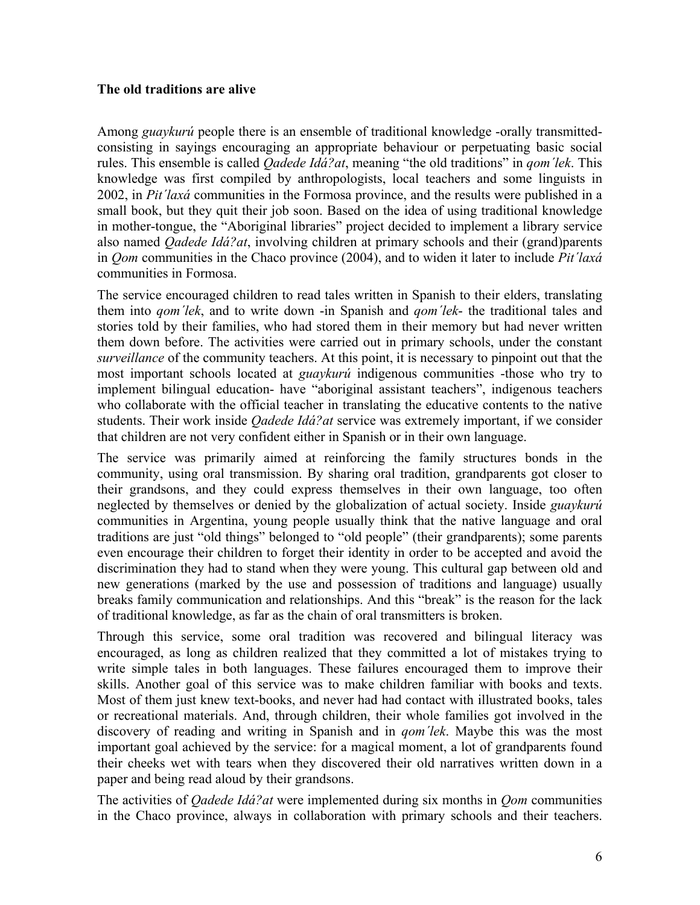#### **The old traditions are alive**

Among *guaykurú* people there is an ensemble of traditional knowledge -orally transmittedconsisting in sayings encouraging an appropriate behaviour or perpetuating basic social rules. This ensemble is called *Qadede Idá?at*, meaning "the old traditions" in *qom´lek*. This knowledge was first compiled by anthropologists, local teachers and some linguists in 2002, in *Pit´laxá* communities in the Formosa province, and the results were published in a small book, but they quit their job soon. Based on the idea of using traditional knowledge in mother-tongue, the "Aboriginal libraries" project decided to implement a library service also named *Qadede Idá?at*, involving children at primary schools and their (grand)parents in *Qom* communities in the Chaco province (2004), and to widen it later to include *Pit´laxá* communities in Formosa.

The service encouraged children to read tales written in Spanish to their elders, translating them into *qom´lek*, and to write down -in Spanish and *qom´lek*- the traditional tales and stories told by their families, who had stored them in their memory but had never written them down before. The activities were carried out in primary schools, under the constant *surveillance* of the community teachers. At this point, it is necessary to pinpoint out that the most important schools located at *guaykurú* indigenous communities -those who try to implement bilingual education- have "aboriginal assistant teachers", indigenous teachers who collaborate with the official teacher in translating the educative contents to the native students. Their work inside *Qadede Idá?at* service was extremely important, if we consider that children are not very confident either in Spanish or in their own language.

The service was primarily aimed at reinforcing the family structures bonds in the community, using oral transmission. By sharing oral tradition, grandparents got closer to their grandsons, and they could express themselves in their own language, too often neglected by themselves or denied by the globalization of actual society. Inside *guaykurú* communities in Argentina, young people usually think that the native language and oral traditions are just "old things" belonged to "old people" (their grandparents); some parents even encourage their children to forget their identity in order to be accepted and avoid the discrimination they had to stand when they were young. This cultural gap between old and new generations (marked by the use and possession of traditions and language) usually breaks family communication and relationships. And this "break" is the reason for the lack of traditional knowledge, as far as the chain of oral transmitters is broken.

Through this service, some oral tradition was recovered and bilingual literacy was encouraged, as long as children realized that they committed a lot of mistakes trying to write simple tales in both languages. These failures encouraged them to improve their skills. Another goal of this service was to make children familiar with books and texts. Most of them just knew text-books, and never had had contact with illustrated books, tales or recreational materials. And, through children, their whole families got involved in the discovery of reading and writing in Spanish and in *qom´lek*. Maybe this was the most important goal achieved by the service: for a magical moment, a lot of grandparents found their cheeks wet with tears when they discovered their old narratives written down in a paper and being read aloud by their grandsons.

The activities of *Qadede Idá?at* were implemented during six months in *Qom* communities in the Chaco province, always in collaboration with primary schools and their teachers.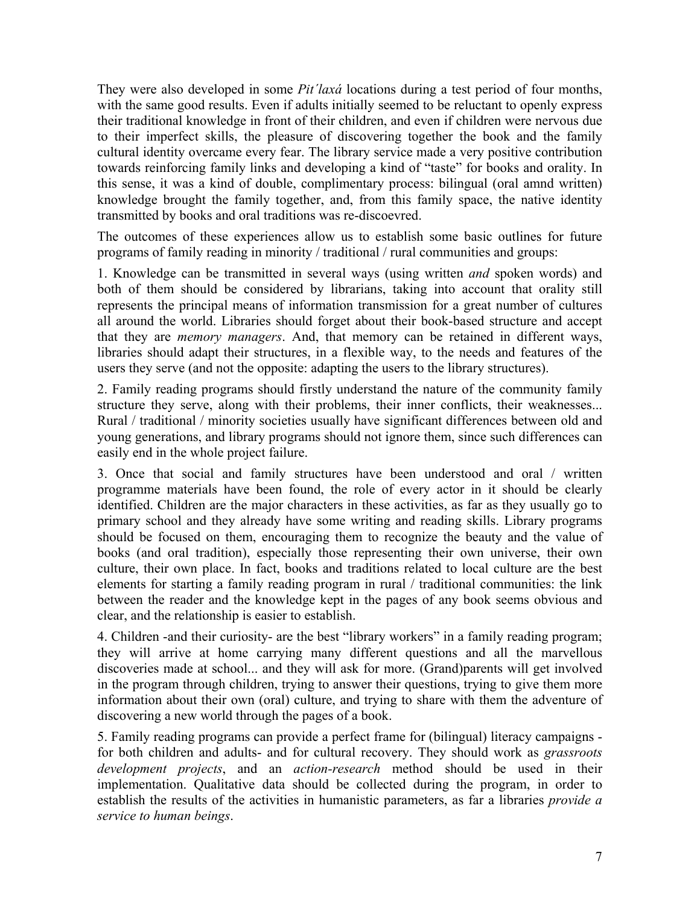They were also developed in some *Pit´laxá* locations during a test period of four months, with the same good results. Even if adults initially seemed to be reluctant to openly express their traditional knowledge in front of their children, and even if children were nervous due to their imperfect skills, the pleasure of discovering together the book and the family cultural identity overcame every fear. The library service made a very positive contribution towards reinforcing family links and developing a kind of "taste" for books and orality. In this sense, it was a kind of double, complimentary process: bilingual (oral amnd written) knowledge brought the family together, and, from this family space, the native identity transmitted by books and oral traditions was re-discoevred.

The outcomes of these experiences allow us to establish some basic outlines for future programs of family reading in minority / traditional / rural communities and groups:

1. Knowledge can be transmitted in several ways (using written *and* spoken words) and both of them should be considered by librarians, taking into account that orality still represents the principal means of information transmission for a great number of cultures all around the world. Libraries should forget about their book-based structure and accept that they are *memory managers*. And, that memory can be retained in different ways, libraries should adapt their structures, in a flexible way, to the needs and features of the users they serve (and not the opposite: adapting the users to the library structures).

2. Family reading programs should firstly understand the nature of the community family structure they serve, along with their problems, their inner conflicts, their weaknesses... Rural / traditional / minority societies usually have significant differences between old and young generations, and library programs should not ignore them, since such differences can easily end in the whole project failure.

3. Once that social and family structures have been understood and oral / written programme materials have been found, the role of every actor in it should be clearly identified. Children are the major characters in these activities, as far as they usually go to primary school and they already have some writing and reading skills. Library programs should be focused on them, encouraging them to recognize the beauty and the value of books (and oral tradition), especially those representing their own universe, their own culture, their own place. In fact, books and traditions related to local culture are the best elements for starting a family reading program in rural / traditional communities: the link between the reader and the knowledge kept in the pages of any book seems obvious and clear, and the relationship is easier to establish.

4. Children -and their curiosity- are the best "library workers" in a family reading program; they will arrive at home carrying many different questions and all the marvellous discoveries made at school... and they will ask for more. (Grand)parents will get involved in the program through children, trying to answer their questions, trying to give them more information about their own (oral) culture, and trying to share with them the adventure of discovering a new world through the pages of a book.

5. Family reading programs can provide a perfect frame for (bilingual) literacy campaigns for both children and adults- and for cultural recovery. They should work as *grassroots development projects*, and an *action-research* method should be used in their implementation. Qualitative data should be collected during the program, in order to establish the results of the activities in humanistic parameters, as far a libraries *provide a service to human beings*.